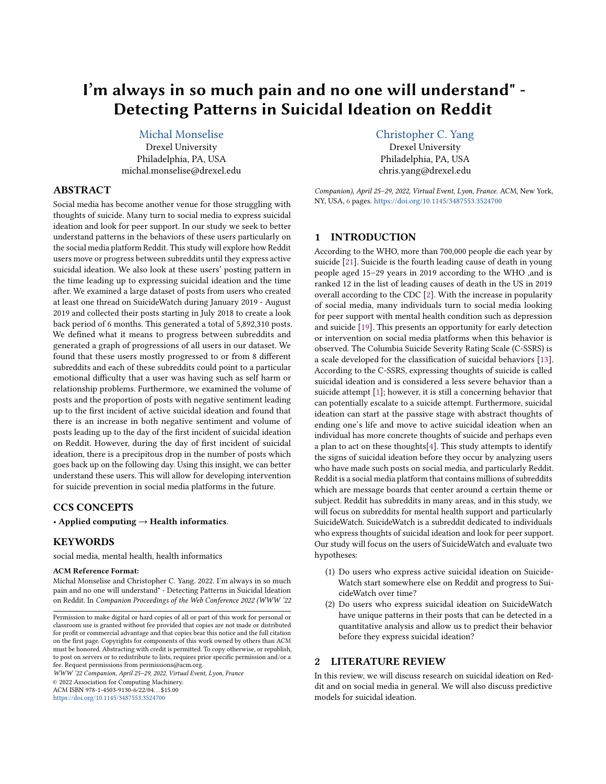# I'm always in so much pain and no one will understand" - Detecting Patterns in Suicidal Ideation on Reddit

# [Michal Monselise](https://orcid.org/0000-0002-6222-4822)

Drexel University Philadelphia, PA, USA michal.monselise@drexel.edu

# ABSTRACT

Social media has become another venue for those struggling with thoughts of suicide. Many turn to social media to express suicidal ideation and look for peer support. In our study we seek to better understand patterns in the behaviors of these users particularly on the social media platform Reddit. This study will explore how Reddit users move or progress between subreddits until they express active suicidal ideation. We also look at these users' posting pattern in the time leading up to expressing suicidal ideation and the time after. We examined a large dataset of posts from users who created at least one thread on SuicideWatch during January 2019 - August 2019 and collected their posts starting in July 2018 to create a look back period of 6 months. This generated a total of 5,892,310 posts. We defined what it means to progress between subreddits and generated a graph of progressions of all users in our dataset. We found that these users mostly progressed to or from 8 different subreddits and each of these subreddits could point to a particular emotional difficulty that a user was having such as self harm or relationship problems. Furthermore, we examined the volume of posts and the proportion of posts with negative sentiment leading up to the first incident of active suicidal ideation and found that there is an increase in both negative sentiment and volume of posts leading up to the day of the first incident of suicidal ideation on Reddit. However, during the day of first incident of suicidal ideation, there is a precipitous drop in the number of posts which goes back up on the following day. Using this insight, we can better understand these users. This will allow for developing intervention for suicide prevention in social media platforms in the future.

## CCS CONCEPTS

• Applied computing  $\rightarrow$  Health informatics.

# **KEYWORDS**

social media, mental health, health informatics

#### ACM Reference Format:

Michal Monselise and Christopher C. Yang. 2022. I'm always in so much pain and no one will understand" - Detecting Patterns in Suicidal Ideation on Reddit. In Companion Proceedings of the Web Conference 2022 (WWW '22

WWW '22 Companion, April 25–29, 2022, Virtual Event, Lyon, France © 2022 Association for Computing Machinery.

ACM ISBN 978-1-4503-9130-6/22/04. . . \$15.00 <https://doi.org/10.1145/3487553.3524700>

[Christopher C. Yang](https://orcid.org/0000-0001-5463-6926) Drexel University Philadelphia, PA, USA chris.yang@drexel.edu

Companion), April 25–29, 2022, Virtual Event, Lyon, France. ACM, New York, NY, USA, [6](#page-5-0) pages. <https://doi.org/10.1145/3487553.3524700>

### 1 INTRODUCTION

According to the WHO, more than 700,000 people die each year by suicide [\[21\]](#page-5-1). Suicide is the fourth leading cause of death in young people aged 15–29 years in 2019 according to the WHO ,and is ranked 12 in the list of leading causes of death in the US in 2019 overall according to the CDC [\[2\]](#page-5-2). With the increase in popularity of social media, many individuals turn to social media looking for peer support with mental health condition such as depression and suicide [\[19\]](#page-5-3). This presents an opportunity for early detection or intervention on social media platforms when this behavior is observed. The Columbia Suicide Severity Rating Scale (C-SSRS) is a scale developed for the classification of suicidal behaviors [\[13\]](#page-5-4). According to the C-SSRS, expressing thoughts of suicide is called suicidal ideation and is considered a less severe behavior than a suicide attempt [\[1\]](#page-5-5); however, it is still a concerning behavior that can potentially escalate to a suicide attempt. Furthermore, suicidal ideation can start at the passive stage with abstract thoughts of ending one's life and move to active suicidal ideation when an individual has more concrete thoughts of suicide and perhaps even a plan to act on these thoughts[\[4\]](#page-5-6). This study attempts to identify the signs of suicidal ideation before they occur by analyzing users who have made such posts on social media, and particularly Reddit. Reddit is a social media platform that contains millions of subreddits which are message boards that center around a certain theme or subject. Reddit has subreddits in many areas, and in this study, we will focus on subreddits for mental health support and particularly SuicideWatch. SuicideWatch is a subreddit dedicated to individuals who express thoughts of suicidal ideation and look for peer support. Our study will focus on the users of SuicideWatch and evaluate two hypotheses:

- (1) Do users who express active suicidal ideation on Suicide-Watch start somewhere else on Reddit and progress to SuicideWatch over time?
- (2) Do users who express suicidal ideation on SuicideWatch have unique patterns in their posts that can be detected in a quantitative analysis and allow us to predict their behavior before they express suicidal ideation?

## 2 LITERATURE REVIEW

In this review, we will discuss research on suicidal ideation on Reddit and on social media in general. We will also discuss predictive models for suicidal ideation.

Permission to make digital or hard copies of all or part of this work for personal or classroom use is granted without fee provided that copies are not made or distributed for profit or commercial advantage and that copies bear this notice and the full citation on the first page. Copyrights for components of this work owned by others than ACM must be honored. Abstracting with credit is permitted. To copy otherwise, or republish, to post on servers or to redistribute to lists, requires prior specific permission and/or a fee. Request permissions from permissions@acm.org.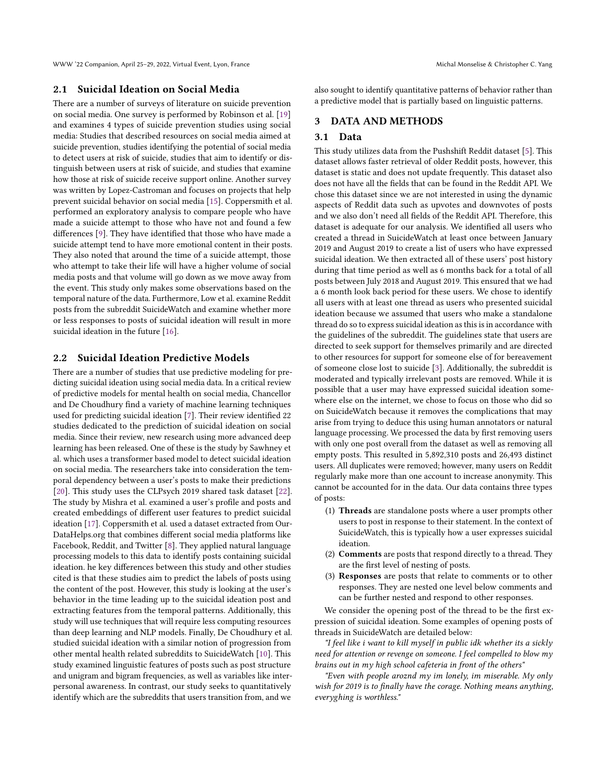WWW '22 Companion, April 25–29, 2022, Virtual Event, Lyon, France Michal Monselise & Christopher C. Yang

### 2.1 Suicidal Ideation on Social Media

There are a number of surveys of literature on suicide prevention on social media. One survey is performed by Robinson et al. [\[19\]](#page-5-3) and examines 4 types of suicide prevention studies using social media: Studies that described resources on social media aimed at suicide prevention, studies identifying the potential of social media to detect users at risk of suicide, studies that aim to identify or distinguish between users at risk of suicide, and studies that examine how those at risk of suicide receive support online. Another survey was written by Lopez-Castroman and focuses on projects that help prevent suicidal behavior on social media [\[15\]](#page-5-7). Coppersmith et al. performed an exploratory analysis to compare people who have made a suicide attempt to those who have not and found a few differences [\[9\]](#page-5-8). They have identified that those who have made a suicide attempt tend to have more emotional content in their posts. They also noted that around the time of a suicide attempt, those who attempt to take their life will have a higher volume of social media posts and that volume will go down as we move away from the event. This study only makes some observations based on the temporal nature of the data. Furthermore, Low et al. examine Reddit posts from the subreddit SuicideWatch and examine whether more or less responses to posts of suicidal ideation will result in more suicidal ideation in the future [\[16\]](#page-5-9).

## 2.2 Suicidal Ideation Predictive Models

There are a number of studies that use predictive modeling for predicting suicidal ideation using social media data. In a critical review of predictive models for mental health on social media, Chancellor and De Choudhury find a variety of machine learning techniques used for predicting suicidal ideation [\[7\]](#page-5-10). Their review identified 22 studies dedicated to the prediction of suicidal ideation on social media. Since their review, new research using more advanced deep learning has been released. One of these is the study by Sawhney et al. which uses a transformer based model to detect suicidal ideation on social media. The researchers take into consideration the temporal dependency between a user's posts to make their predictions [\[20\]](#page-5-11). This study uses the CLPsych 2019 shared task dataset [\[22\]](#page-5-12). The study by Mishra et al. examined a user's profile and posts and created embeddings of different user features to predict suicidal ideation [\[17\]](#page-5-13). Coppersmith et al. used a dataset extracted from Our-DataHelps.org that combines different social media platforms like Facebook, Reddit, and Twitter [\[8\]](#page-5-14). They applied natural language processing models to this data to identify posts containing suicidal ideation. he key differences between this study and other studies cited is that these studies aim to predict the labels of posts using the content of the post. However, this study is looking at the user's behavior in the time leading up to the suicidal ideation post and extracting features from the temporal patterns. Additionally, this study will use techniques that will require less computing resources than deep learning and NLP models. Finally, De Choudhury et al. studied suicidal ideation with a similar notion of progression from other mental health related subreddits to SuicideWatch [\[10\]](#page-5-15). This study examined linguistic features of posts such as post structure and unigram and bigram frequencies, as well as variables like interpersonal awareness. In contrast, our study seeks to quantitatively identify which are the subreddits that users transition from, and we

also sought to identify quantitative patterns of behavior rather than a predictive model that is partially based on linguistic patterns.

## 3 DATA AND METHODS

#### 3.1 Data

This study utilizes data from the Pushshift Reddit dataset [\[5\]](#page-5-16). This dataset allows faster retrieval of older Reddit posts, however, this dataset is static and does not update frequently. This dataset also does not have all the fields that can be found in the Reddit API. We chose this dataset since we are not interested in using the dynamic aspects of Reddit data such as upvotes and downvotes of posts and we also don't need all fields of the Reddit API. Therefore, this dataset is adequate for our analysis. We identified all users who created a thread in SuicideWatch at least once between January 2019 and August 2019 to create a list of users who have expressed suicidal ideation. We then extracted all of these users' post history during that time period as well as 6 months back for a total of all posts between July 2018 and August 2019. This ensured that we had a 6 month look back period for these users. We chose to identify all users with at least one thread as users who presented suicidal ideation because we assumed that users who make a standalone thread do so to express suicidal ideation as this is in accordance with the guidelines of the subreddit. The guidelines state that users are directed to seek support for themselves primarily and are directed to other resources for support for someone else of for bereavement of someone close lost to suicide [\[3\]](#page-5-17). Additionally, the subreddit is moderated and typically irrelevant posts are removed. While it is possible that a user may have expressed suicidal ideation somewhere else on the internet, we chose to focus on those who did so on SuicideWatch because it removes the complications that may arise from trying to deduce this using human annotators or natural language processing. We processed the data by first removing users with only one post overall from the dataset as well as removing all empty posts. This resulted in 5,892,310 posts and 26,493 distinct users. All duplicates were removed; however, many users on Reddit regularly make more than one account to increase anonymity. This cannot be accounted for in the data. Our data contains three types of posts:

- (1) Threads are standalone posts where a user prompts other users to post in response to their statement. In the context of SuicideWatch, this is typically how a user expresses suicidal ideation.
- (2) Comments are posts that respond directly to a thread. They are the first level of nesting of posts.
- (3) Responses are posts that relate to comments or to other responses. They are nested one level below comments and can be further nested and respond to other responses.

We consider the opening post of the thread to be the first expression of suicidal ideation. Some examples of opening posts of threads in SuicideWatch are detailed below:

"I feel like i want to kill myself in public idk whether its a sickly need for attention or revenge on someone. I feel compelled to blow my brains out in my high school cafeteria in front of the others"

"Even with people aroznd my im lonely, im miserable. My only wish for 2019 is to finally have the corage. Nothing means anything, everyghing is worthless."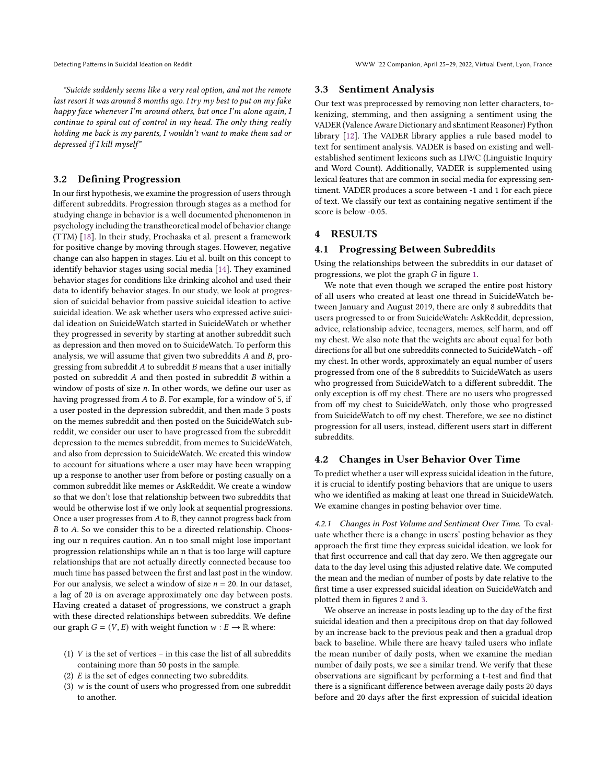"Suicide suddenly seems like a very real option, and not the remote last resort it was around 8 months ago. I try my best to put on my fake happy face whenever I'm around others, but once I'm alone again, I continue to spiral out of control in my head. The only thing really holding me back is my parents, I wouldn't want to make them sad or depressed if I kill myself"

## 3.2 Defining Progression

In our first hypothesis, we examine the progression of users through different subreddits. Progression through stages as a method for studying change in behavior is a well documented phenomenon in psychology including the transtheoretical model of behavior change (TTM) [\[18\]](#page-5-18). In their study, Prochaska et al. present a framework for positive change by moving through stages. However, negative change can also happen in stages. Liu et al. built on this concept to identify behavior stages using social media [\[14\]](#page-5-19). They examined behavior stages for conditions like drinking alcohol and used their data to identify behavior stages. In our study, we look at progression of suicidal behavior from passive suicidal ideation to active suicidal ideation. We ask whether users who expressed active suicidal ideation on SuicideWatch started in SuicideWatch or whether they progressed in severity by starting at another subreddit such as depression and then moved on to SuicideWatch. To perform this analysis, we will assume that given two subreddits  $A$  and  $B$ , progressing from subreddit  $A$  to subreddit  $B$  means that a user initially posted on subreddit  $A$  and then posted in subreddit  $B$  within a window of posts of size  $n$ . In other words, we define our user as having progressed from  $A$  to  $B$ . For example, for a window of 5, if a user posted in the depression subreddit, and then made 3 posts on the memes subreddit and then posted on the SuicideWatch subreddit, we consider our user to have progressed from the subreddit depression to the memes subreddit, from memes to SuicideWatch, and also from depression to SuicideWatch. We created this window to account for situations where a user may have been wrapping up a response to another user from before or posting casually on a common subreddit like memes or AskReddit. We create a window so that we don't lose that relationship between two subreddits that would be otherwise lost if we only look at sequential progressions. Once a user progresses from  $A$  to  $B$ , they cannot progress back from  $B$  to  $A$ . So we consider this to be a directed relationship. Choosing our n requires caution. An n too small might lose important progression relationships while an n that is too large will capture relationships that are not actually directly connected because too much time has passed between the first and last post in the window. For our analysis, we select a window of size  $n = 20$ . In our dataset, a lag of 20 is on average approximately one day between posts. Having created a dataset of progressions, we construct a graph with these directed relationships between subreddits. We define our graph  $G = (V, E)$  with weight function  $w : E \to \mathbb{R}$  where:

- (1)  $V$  is the set of vertices in this case the list of all subreddits containing more than 50 posts in the sample.
- (2)  $E$  is the set of edges connecting two subreddits.
- (3)  $w$  is the count of users who progressed from one subreddit to another.

#### 3.3 Sentiment Analysis

Our text was preprocessed by removing non letter characters, tokenizing, stemming, and then assigning a sentiment using the VADER (Valence Aware Dictionary and sEntiment Reasoner) Python library [\[12\]](#page-5-20). The VADER library applies a rule based model to text for sentiment analysis. VADER is based on existing and wellestablished sentiment lexicons such as LIWC (Linguistic Inquiry and Word Count). Additionally, VADER is supplemented using lexical features that are common in social media for expressing sentiment. VADER produces a score between -1 and 1 for each piece of text. We classify our text as containing negative sentiment if the score is below -0.05.

## 4 RESULTS

#### 4.1 Progressing Between Subreddits

Using the relationships between the subreddits in our dataset of progressions, we plot the graph  $G$  in figure [1.](#page-3-0)

We note that even though we scraped the entire post history of all users who created at least one thread in SuicideWatch between January and August 2019, there are only 8 subreddits that users progressed to or from SuicideWatch: AskReddit, depression, advice, relationship advice, teenagers, memes, self harm, and off my chest. We also note that the weights are about equal for both directions for all but one subreddits connected to SuicideWatch - off my chest. In other words, approximately an equal number of users progressed from one of the 8 subreddits to SuicideWatch as users who progressed from SuicideWatch to a different subreddit. The only exception is off my chest. There are no users who progressed from off my chest to SuicideWatch, only those who progressed from SuicideWatch to off my chest. Therefore, we see no distinct progression for all users, instead, different users start in different subreddits.

#### 4.2 Changes in User Behavior Over Time

To predict whether a user will express suicidal ideation in the future, it is crucial to identify posting behaviors that are unique to users who we identified as making at least one thread in SuicideWatch. We examine changes in posting behavior over time.

4.2.1 Changes in Post Volume and Sentiment Over Time. To evaluate whether there is a change in users' posting behavior as they approach the first time they express suicidal ideation, we look for that first occurrence and call that day zero. We then aggregate our data to the day level using this adjusted relative date. We computed the mean and the median of number of posts by date relative to the first time a user expressed suicidal ideation on SuicideWatch and plotted them in figures [2](#page-4-0) and [3.](#page-4-1)

We observe an increase in posts leading up to the day of the first suicidal ideation and then a precipitous drop on that day followed by an increase back to the previous peak and then a gradual drop back to baseline. While there are heavy tailed users who inflate the mean number of daily posts, when we examine the median number of daily posts, we see a similar trend. We verify that these observations are significant by performing a t-test and find that there is a significant difference between average daily posts 20 days before and 20 days after the first expression of suicidal ideation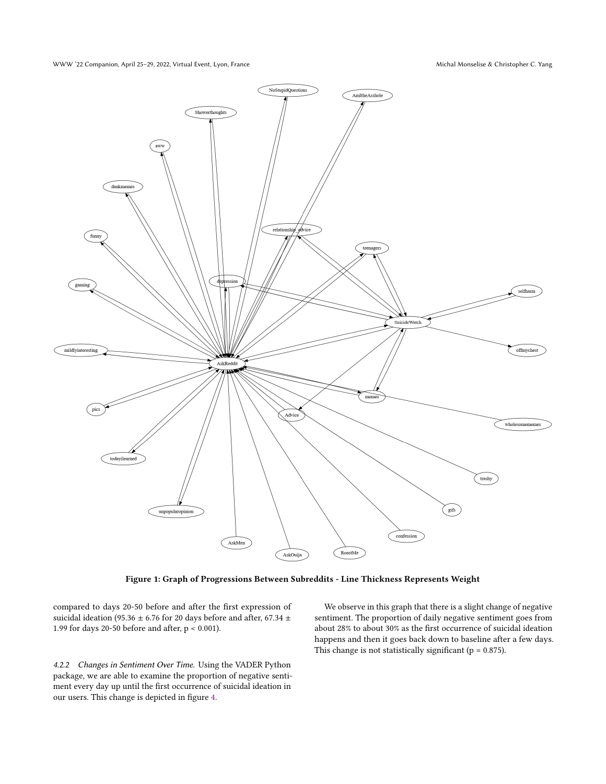WWW '22 Companion, April 25–29, 2022, Virtual Event, Lyon, France Michal Monselise & Christopher C. Yang

<span id="page-3-0"></span>

Figure 1: Graph of Progressions Between Subreddits - Line Thickness Represents Weight

compared to days 20-50 before and after the first expression of suicidal ideation (95.36  $\pm$  6.76 for 20 days before and after, 67.34  $\pm$ 1.99 for days 20-50 before and after, p < 0.001).

4.2.2 Changes in Sentiment Over Time. Using the VADER Python package, we are able to examine the proportion of negative sentiment every day up until the first occurrence of suicidal ideation in our users. This change is depicted in figure [4.](#page-4-2)

We observe in this graph that there is a slight change of negative sentiment. The proportion of daily negative sentiment goes from about 28% to about 30% as the first occurrence of suicidal ideation happens and then it goes back down to baseline after a few days. This change is not statistically significant ( $p = 0.875$ ).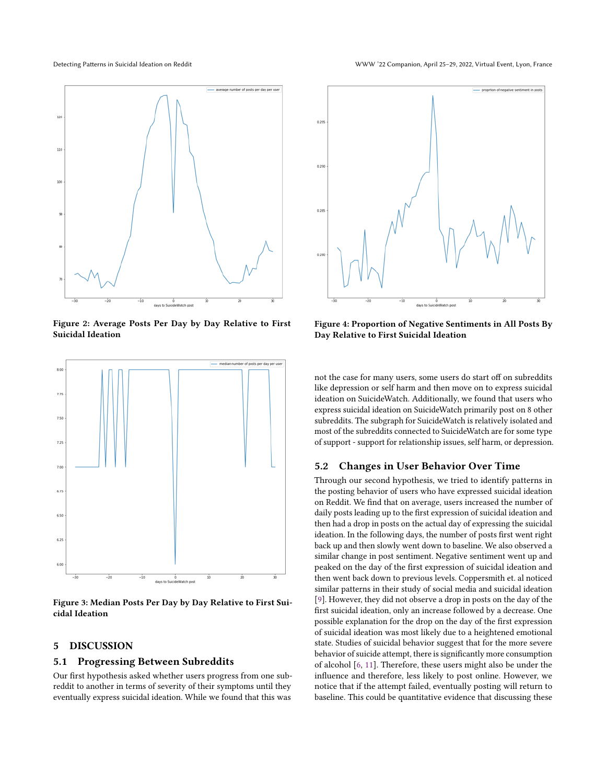<span id="page-4-0"></span>

Figure 2: Average Posts Per Day by Day Relative to First Suicidal Ideation

<span id="page-4-1"></span>

Figure 3: Median Posts Per Day by Day Relative to First Suicidal Ideation

## 5 DISCUSSION

## 5.1 Progressing Between Subreddits

Our first hypothesis asked whether users progress from one subreddit to another in terms of severity of their symptoms until they eventually express suicidal ideation. While we found that this was

<span id="page-4-2"></span>

Figure 4: Proportion of Negative Sentiments in All Posts By Day Relative to First Suicidal Ideation

not the case for many users, some users do start off on subreddits like depression or self harm and then move on to express suicidal ideation on SuicideWatch. Additionally, we found that users who express suicidal ideation on SuicideWatch primarily post on 8 other subreddits. The subgraph for SuicideWatch is relatively isolated and most of the subreddits connected to SuicideWatch are for some type of support - support for relationship issues, self harm, or depression.

#### 5.2 Changes in User Behavior Over Time

Through our second hypothesis, we tried to identify patterns in the posting behavior of users who have expressed suicidal ideation on Reddit. We find that on average, users increased the number of daily posts leading up to the first expression of suicidal ideation and then had a drop in posts on the actual day of expressing the suicidal ideation. In the following days, the number of posts first went right back up and then slowly went down to baseline. We also observed a similar change in post sentiment. Negative sentiment went up and peaked on the day of the first expression of suicidal ideation and then went back down to previous levels. Coppersmith et. al noticed similar patterns in their study of social media and suicidal ideation [\[9\]](#page-5-8). However, they did not observe a drop in posts on the day of the first suicidal ideation, only an increase followed by a decrease. One possible explanation for the drop on the day of the first expression of suicidal ideation was most likely due to a heightened emotional state. Studies of suicidal behavior suggest that for the more severe behavior of suicide attempt, there is significantly more consumption of alcohol [\[6,](#page-5-21) [11\]](#page-5-22). Therefore, these users might also be under the influence and therefore, less likely to post online. However, we notice that if the attempt failed, eventually posting will return to baseline. This could be quantitative evidence that discussing these